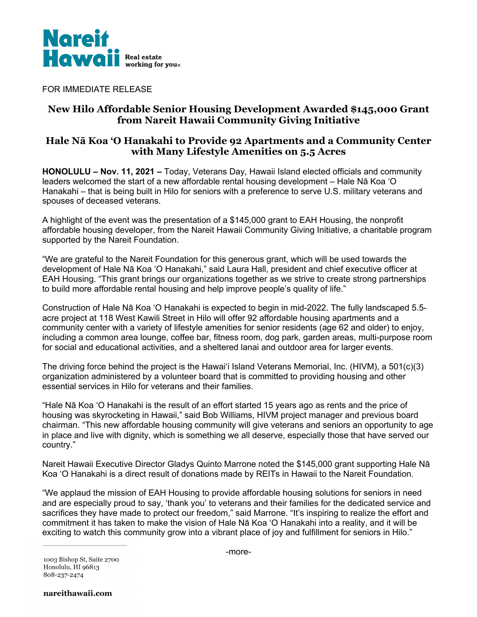

FOR IMMEDIATE RELEASE

# **New Hilo Affordable Senior Housing Development Awarded \$145,000 Grant from Nareit Hawaii Community Giving Initiative**

## **Hale Nā Koa 'O Hanakahi to Provide 92 Apartments and a Community Center with Many Lifestyle Amenities on 5.5 Acres**

**HONOLULU – Nov. 11, 2021 –** Today, Veterans Day, Hawaii Island elected officials and community leaders welcomed the start of a new affordable rental housing development – Hale Nā Koa 'O Hanakahi – that is being built in Hilo for seniors with a preference to serve U.S. military veterans and spouses of deceased veterans.

A highlight of the event was the presentation of a \$145,000 grant to EAH Housing, the nonprofit affordable housing developer, from the Nareit Hawaii Community Giving Initiative, a charitable program supported by the Nareit Foundation.

"We are grateful to the Nareit Foundation for this generous grant, which will be used towards the development of Hale Nā Koa ʻO Hanakahi," said Laura Hall, president and chief executive officer at EAH Housing. "This grant brings our organizations together as we strive to create strong partnerships to build more affordable rental housing and help improve people's quality of life."

Construction of Hale Nā Koa 'O Hanakahi is expected to begin in mid-2022. The fully landscaped 5.5 acre project at 118 West Kawili Street in Hilo will offer 92 affordable housing apartments and a community center with a variety of lifestyle amenities for senior residents (age 62 and older) to enjoy, including a common area lounge, coffee bar, fitness room, dog park, garden areas, multi-purpose room for social and educational activities, and a sheltered lanai and outdoor area for larger events.

The driving force behind the project is the Hawai'i Island Veterans Memorial, Inc. (HIVM), a 501(c)(3) organization administered by a volunteer board that is committed to providing housing and other essential services in Hilo for veterans and their families.

"Hale Nā Koa ʻO Hanakahi is the result of an effort started 15 years ago as rents and the price of housing was skyrocketing in Hawaii," said Bob Williams, HIVM project manager and previous board chairman. "This new affordable housing community will give veterans and seniors an opportunity to age in place and live with dignity, which is something we all deserve, especially those that have served our country."

Nareit Hawaii Executive Director Gladys Quinto Marrone noted the \$145,000 grant supporting Hale Nā Koa ʻO Hanakahi is a direct result of donations made by REITs in Hawaii to the Nareit Foundation.

"We applaud the mission of EAH Housing to provide affordable housing solutions for seniors in need and are especially proud to say, 'thank you' to veterans and their families for the dedicated service and sacrifices they have made to protect our freedom," said Marrone. "It's inspiring to realize the effort and commitment it has taken to make the vision of Hale Nā Koa ʻO Hanakahi into a reality, and it will be exciting to watch this community grow into a vibrant place of joy and fulfillment for seniors in Hilo."

1003 Bishop St, Suite 2700 Honolulu, HI 96813 808-237-2474